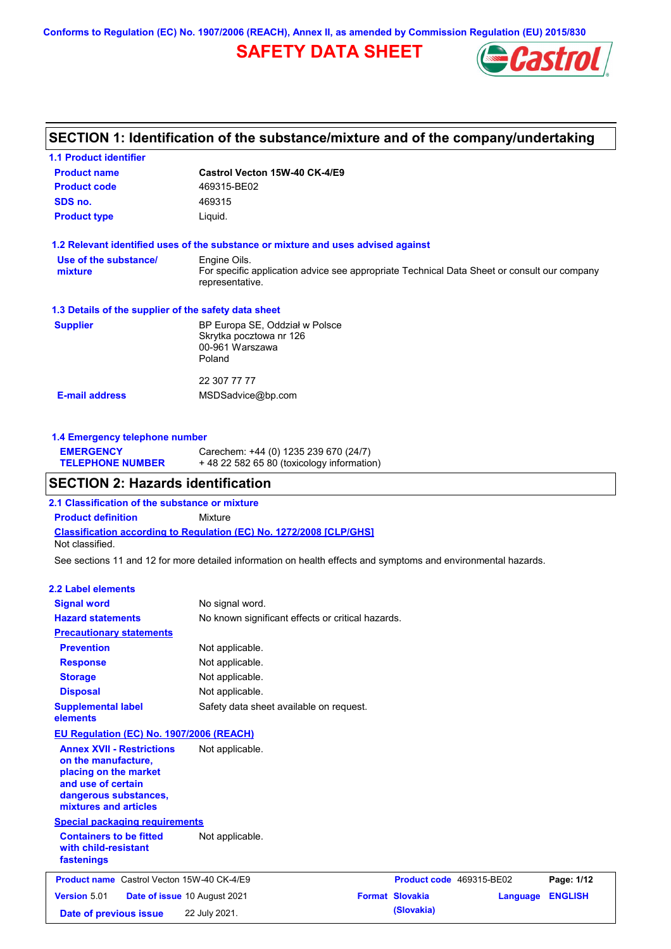**Conforms to Regulation (EC) No. 1907/2006 (REACH), Annex II, as amended by Commission Regulation (EU) 2015/830**

# **SAFETY DATA SHEET**



### **SECTION 1: Identification of the substance/mixture and of the company/undertaking**

| <b>1.1 Product identifier</b>                        |                                                                                                                |  |  |  |
|------------------------------------------------------|----------------------------------------------------------------------------------------------------------------|--|--|--|
| <b>Product name</b>                                  | Castrol Vecton 15W-40 CK-4/E9                                                                                  |  |  |  |
| <b>Product code</b>                                  | 469315-BE02                                                                                                    |  |  |  |
| SDS no.                                              | 469315                                                                                                         |  |  |  |
| <b>Product type</b>                                  | Liquid.                                                                                                        |  |  |  |
|                                                      | 1.2 Relevant identified uses of the substance or mixture and uses advised against                              |  |  |  |
| Use of the substance/                                | Engine Oils.                                                                                                   |  |  |  |
| mixture                                              | For specific application advice see appropriate Technical Data Sheet or consult our company<br>representative. |  |  |  |
| 1.3 Details of the supplier of the safety data sheet |                                                                                                                |  |  |  |
| <b>Supplier</b>                                      | BP Europa SE, Oddział w Polsce                                                                                 |  |  |  |
|                                                      | Skrytka pocztowa nr 126                                                                                        |  |  |  |
|                                                      | 00-961 Warszawa                                                                                                |  |  |  |
|                                                      | Poland                                                                                                         |  |  |  |
|                                                      | 22 307 77 77                                                                                                   |  |  |  |
|                                                      |                                                                                                                |  |  |  |

#### **1.4 Emergency telephone number**

| <b>EMERGENCY</b>        | Carechem: +44 (0) 1235 239 670 (24/7)     |
|-------------------------|-------------------------------------------|
| <b>TELEPHONE NUMBER</b> | +48 22 582 65 80 (toxicology information) |

### **SECTION 2: Hazards identification**

**2.1 Classification of the substance or mixture**

**Classification according to Regulation (EC) No. 1272/2008 [CLP/GHS] Product definition** Mixture Not classified.

See sections 11 and 12 for more detailed information on health effects and symptoms and environmental hazards.

#### **2.2 Label elements**

| <b>Signal word</b>                                                                                                                                       | No signal word.              |                                                   |                          |          |                |  |
|----------------------------------------------------------------------------------------------------------------------------------------------------------|------------------------------|---------------------------------------------------|--------------------------|----------|----------------|--|
| <b>Hazard statements</b>                                                                                                                                 |                              | No known significant effects or critical hazards. |                          |          |                |  |
| <b>Precautionary statements</b>                                                                                                                          |                              |                                                   |                          |          |                |  |
| <b>Prevention</b>                                                                                                                                        | Not applicable.              |                                                   |                          |          |                |  |
| <b>Response</b>                                                                                                                                          | Not applicable.              |                                                   |                          |          |                |  |
| <b>Storage</b>                                                                                                                                           | Not applicable.              |                                                   |                          |          |                |  |
| <b>Disposal</b>                                                                                                                                          | Not applicable.              |                                                   |                          |          |                |  |
| <b>Supplemental label</b><br>elements                                                                                                                    |                              | Safety data sheet available on request.           |                          |          |                |  |
| EU Regulation (EC) No. 1907/2006 (REACH)                                                                                                                 |                              |                                                   |                          |          |                |  |
| <b>Annex XVII - Restrictions</b><br>on the manufacture,<br>placing on the market<br>and use of certain<br>dangerous substances,<br>mixtures and articles | Not applicable.              |                                                   |                          |          |                |  |
| <b>Special packaging requirements</b>                                                                                                                    |                              |                                                   |                          |          |                |  |
| <b>Containers to be fitted</b><br>with child-resistant<br>fastenings                                                                                     | Not applicable.              |                                                   |                          |          |                |  |
| <b>Product name</b> Castrol Vecton 15W-40 CK-4/E9                                                                                                        |                              |                                                   | Product code 469315-BE02 |          | Page: 1/12     |  |
| Version 5.01                                                                                                                                             | Date of issue 10 August 2021 |                                                   | <b>Format Slovakia</b>   | Language | <b>ENGLISH</b> |  |
| Date of previous issue                                                                                                                                   | 22 July 2021.                |                                                   | (Slovakia)               |          |                |  |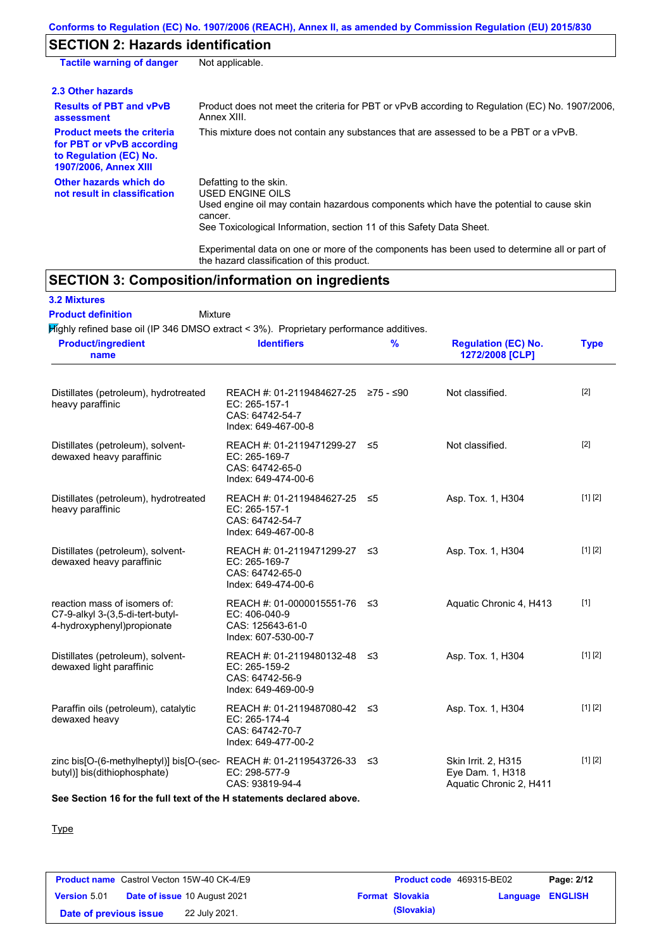### **SECTION 2: Hazards identification**

| <b>Tactile warning of danger</b>                                                                                         | Not applicable.                                                                                                                                                                                                          |
|--------------------------------------------------------------------------------------------------------------------------|--------------------------------------------------------------------------------------------------------------------------------------------------------------------------------------------------------------------------|
| 2.3 Other hazards                                                                                                        |                                                                                                                                                                                                                          |
| <b>Results of PBT and vPvB</b><br>assessment                                                                             | Product does not meet the criteria for PBT or vPvB according to Regulation (EC) No. 1907/2006,<br>Annex XIII.                                                                                                            |
| <b>Product meets the criteria</b><br>for PBT or vPvB according<br>to Regulation (EC) No.<br><b>1907/2006, Annex XIII</b> | This mixture does not contain any substances that are assessed to be a PBT or a vPvB.                                                                                                                                    |
| Other hazards which do<br>not result in classification                                                                   | Defatting to the skin.<br>USED ENGINE OILS<br>Used engine oil may contain hazardous components which have the potential to cause skin<br>cancer.<br>See Toxicological Information, section 11 of this Safety Data Sheet. |
|                                                                                                                          | For a share at all share are a consequently assessed as the set of the second to share and the second of the set of                                                                                                      |

Experimental data on one or more of the components has been used to determine all or part of the hazard classification of this product.

# **SECTION 3: Composition/information on ingredients**

### **3.2 Mixtures**

Mixture **Product definition**

Highly refined base oil (IP 346 DMSO extract < 3%). Proprietary performance additives.

| <b>Product/ingredient</b><br>name                                                                          | <b>Identifiers</b>                                                                             | $\frac{9}{6}$ | <b>Regulation (EC) No.</b><br>1272/2008 [CLP]                      | <b>Type</b> |
|------------------------------------------------------------------------------------------------------------|------------------------------------------------------------------------------------------------|---------------|--------------------------------------------------------------------|-------------|
| Distillates (petroleum), hydrotreated<br>heavy paraffinic                                                  | REACH #: 01-2119484627-25 ≥75 - ≤90<br>EC: 265-157-1<br>CAS: 64742-54-7<br>Index: 649-467-00-8 |               | Not classified.                                                    | $[2]$       |
| Distillates (petroleum), solvent-<br>dewaxed heavy paraffinic                                              | REACH #: 01-2119471299-27 ≤5<br>EC: 265-169-7<br>CAS: 64742-65-0<br>Index: 649-474-00-6        |               | Not classified.                                                    | $[2]$       |
| Distillates (petroleum), hydrotreated<br>heavy paraffinic                                                  | REACH #: 01-2119484627-25 ≤5<br>EC: 265-157-1<br>CAS: 64742-54-7<br>Index: 649-467-00-8        |               | Asp. Tox. 1, H304                                                  | [1] [2]     |
| Distillates (petroleum), solvent-<br>dewaxed heavy paraffinic                                              | REACH #: 01-2119471299-27 ≤3<br>EC: 265-169-7<br>CAS: 64742-65-0<br>Index: 649-474-00-6        |               | Asp. Tox. 1, H304                                                  | [1] [2]     |
| reaction mass of isomers of:<br>C7-9-alkyl 3-(3,5-di-tert-butyl-<br>4-hydroxyphenyl) propionate            | REACH #: 01-0000015551-76 ≤3<br>EC: 406-040-9<br>CAS: 125643-61-0<br>Index: 607-530-00-7       |               | Aquatic Chronic 4, H413                                            | $[1]$       |
| Distillates (petroleum), solvent-<br>dewaxed light paraffinic                                              | REACH #: 01-2119480132-48 ≤3<br>EC: 265-159-2<br>CAS: 64742-56-9<br>Index: 649-469-00-9        |               | Asp. Tox. 1, H304                                                  | [1] [2]     |
| Paraffin oils (petroleum), catalytic<br>dewaxed heavy                                                      | REACH #: 01-2119487080-42 ≤3<br>EC: 265-174-4<br>CAS: 64742-70-7<br>Index: 649-477-00-2        |               | Asp. Tox. 1, H304                                                  | [1] [2]     |
| zinc bis[O-(6-methylheptyl)] bis[O-(sec-REACH #: 01-2119543726-33 $\leq$ 3<br>butyl)] bis(dithiophosphate) | EC: 298-577-9<br>CAS: 93819-94-4                                                               |               | Skin Irrit. 2, H315<br>Eye Dam. 1, H318<br>Aquatic Chronic 2, H411 | [1] [2]     |

**See Section 16 for the full text of the H statements declared above.**

#### Type

|                        | <b>Product name</b> Castrol Vecton 15W-40 CK-4/E9 | <b>Product code</b> 469315-BE02 |                  | Page: 2/12 |
|------------------------|---------------------------------------------------|---------------------------------|------------------|------------|
| <b>Version 5.01</b>    | <b>Date of issue 10 August 2021</b>               | <b>Format Slovakia</b>          | Language ENGLISH |            |
| Date of previous issue | 22 July 2021.                                     | (Slovakia)                      |                  |            |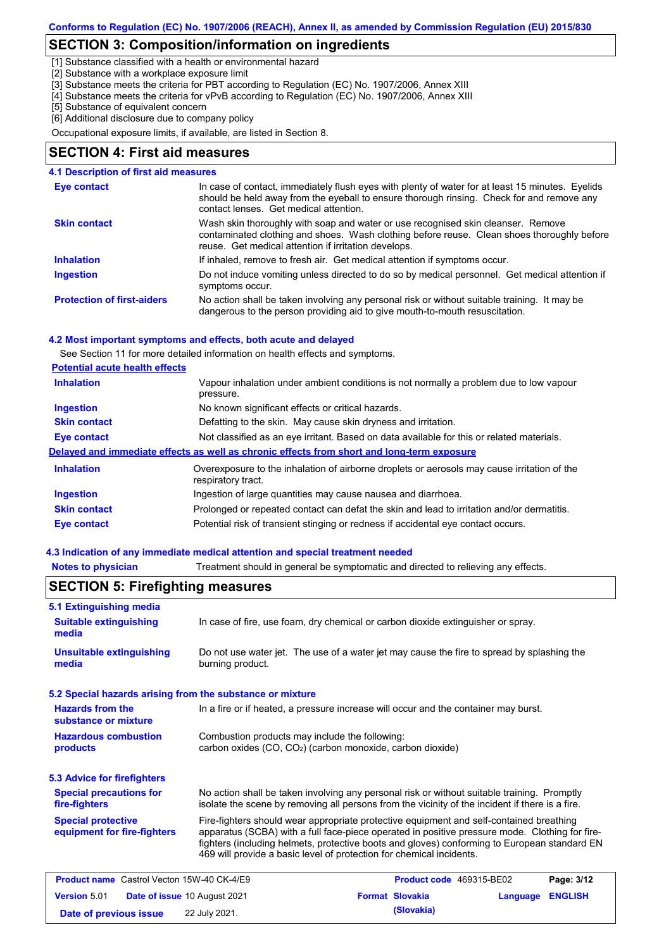### **SECTION 3: Composition/information on ingredients**

[1] Substance classified with a health or environmental hazard

[2] Substance with a workplace exposure limit

[3] Substance meets the criteria for PBT according to Regulation (EC) No. 1907/2006, Annex XIII

[4] Substance meets the criteria for vPvB according to Regulation (EC) No. 1907/2006, Annex XIII

[5] Substance of equivalent concern

[6] Additional disclosure due to company policy

Occupational exposure limits, if available, are listed in Section 8.

#### **SECTION 4: First aid measures**

#### In case of contact, immediately flush eyes with plenty of water for at least 15 minutes. Eyelids should be held away from the eyeball to ensure thorough rinsing. Check for and remove any contact lenses. Get medical attention. **4.1 Description of first aid measures Eye contact**

| <b>Skin contact</b>               | Wash skin thoroughly with soap and water or use recognised skin cleanser. Remove<br>contaminated clothing and shoes. Wash clothing before reuse. Clean shoes thoroughly before<br>reuse. Get medical attention if irritation develops. |
|-----------------------------------|----------------------------------------------------------------------------------------------------------------------------------------------------------------------------------------------------------------------------------------|
| <b>Inhalation</b>                 | If inhaled, remove to fresh air. Get medical attention if symptoms occur.                                                                                                                                                              |
| <b>Ingestion</b>                  | Do not induce vomiting unless directed to do so by medical personnel. Get medical attention if<br>symptoms occur.                                                                                                                      |
| <b>Protection of first-aiders</b> | No action shall be taken involving any personal risk or without suitable training. It may be                                                                                                                                           |

dangerous to the person providing aid to give mouth-to-mouth resuscitation.

#### **4.2 Most important symptoms and effects, both acute and delayed**

See Section 11 for more detailed information on health effects and symptoms.

|--|

| <b>Inhalation</b>   | Vapour inhalation under ambient conditions is not normally a problem due to low vapour<br>pressure.               |  |  |  |
|---------------------|-------------------------------------------------------------------------------------------------------------------|--|--|--|
| <b>Ingestion</b>    | No known significant effects or critical hazards.                                                                 |  |  |  |
| <b>Skin contact</b> | Defatting to the skin. May cause skin dryness and irritation.                                                     |  |  |  |
| Eye contact         | Not classified as an eye irritant. Based on data available for this or related materials.                         |  |  |  |
|                     | Delayed and immediate effects as well as chronic effects from short and long-term exposure                        |  |  |  |
| <b>Inhalation</b>   | Overexposure to the inhalation of airborne droplets or aerosols may cause irritation of the<br>respiratory tract. |  |  |  |
| <b>Ingestion</b>    | Ingestion of large quantities may cause nausea and diarrhoea.                                                     |  |  |  |
| <b>Skin contact</b> | Prolonged or repeated contact can defat the skin and lead to irritation and/or dermatitis.                        |  |  |  |
| Eye contact         | Potential risk of transient stinging or redness if accidental eye contact occurs.                                 |  |  |  |

#### **4.3 Indication of any immediate medical attention and special treatment needed**

**Notes to physician** Treatment should in general be symptomatic and directed to relieving any effects.

| <b>5.1 Extinguishing media</b>                                                                                                                                                                                                                                                                                                                                                                                                |                                                                                                                          |  |                          |          |                |
|-------------------------------------------------------------------------------------------------------------------------------------------------------------------------------------------------------------------------------------------------------------------------------------------------------------------------------------------------------------------------------------------------------------------------------|--------------------------------------------------------------------------------------------------------------------------|--|--------------------------|----------|----------------|
| <b>Suitable extinguishing</b><br>media                                                                                                                                                                                                                                                                                                                                                                                        | In case of fire, use foam, dry chemical or carbon dioxide extinguisher or spray.                                         |  |                          |          |                |
| <b>Unsuitable extinguishing</b><br>media                                                                                                                                                                                                                                                                                                                                                                                      | Do not use water jet. The use of a water jet may cause the fire to spread by splashing the<br>burning product.           |  |                          |          |                |
| 5.2 Special hazards arising from the substance or mixture                                                                                                                                                                                                                                                                                                                                                                     |                                                                                                                          |  |                          |          |                |
| <b>Hazards from the</b><br>In a fire or if heated, a pressure increase will occur and the container may burst.<br>substance or mixture                                                                                                                                                                                                                                                                                        |                                                                                                                          |  |                          |          |                |
| <b>Hazardous combustion</b><br>products                                                                                                                                                                                                                                                                                                                                                                                       | Combustion products may include the following:<br>carbon oxides (CO, CO <sub>2</sub> ) (carbon monoxide, carbon dioxide) |  |                          |          |                |
| <b>5.3 Advice for firefighters</b>                                                                                                                                                                                                                                                                                                                                                                                            |                                                                                                                          |  |                          |          |                |
| <b>Special precautions for</b><br>No action shall be taken involving any personal risk or without suitable training. Promptly<br>isolate the scene by removing all persons from the vicinity of the incident if there is a fire.<br>fire-fighters                                                                                                                                                                             |                                                                                                                          |  |                          |          |                |
| <b>Special protective</b><br>Fire-fighters should wear appropriate protective equipment and self-contained breathing<br>apparatus (SCBA) with a full face-piece operated in positive pressure mode. Clothing for fire-<br>equipment for fire-fighters<br>fighters (including helmets, protective boots and gloves) conforming to European standard EN<br>469 will provide a basic level of protection for chemical incidents. |                                                                                                                          |  |                          |          |                |
| <b>Product name</b> Castrol Vecton 15W-40 CK-4/E9                                                                                                                                                                                                                                                                                                                                                                             |                                                                                                                          |  | Product code 469315-BE02 |          | Page: 3/12     |
| <b>Version 5.01</b><br><b>Date of issue 10 August 2021</b>                                                                                                                                                                                                                                                                                                                                                                    |                                                                                                                          |  | <b>Format Slovakia</b>   | Language | <b>ENGLISH</b> |
| 22 July 2021.<br>Date of previous issue                                                                                                                                                                                                                                                                                                                                                                                       |                                                                                                                          |  | (Slovakia)               |          |                |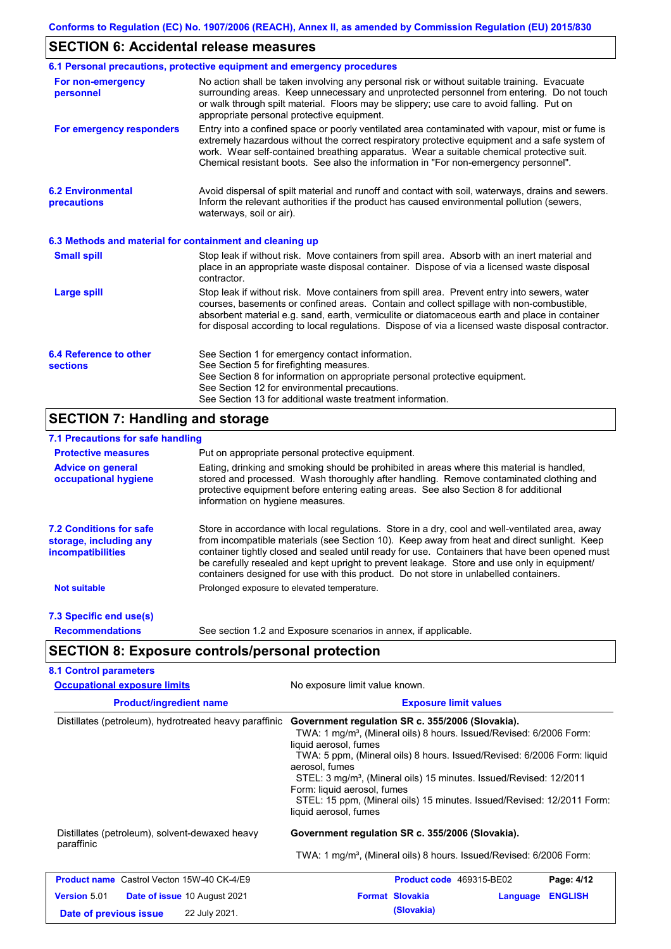### **SECTION 6: Accidental release measures**

|                                                          | 6.1 Personal precautions, protective equipment and emergency procedures                                                                                                                                                                                                                                                                                                                        |  |  |  |
|----------------------------------------------------------|------------------------------------------------------------------------------------------------------------------------------------------------------------------------------------------------------------------------------------------------------------------------------------------------------------------------------------------------------------------------------------------------|--|--|--|
| For non-emergency<br>personnel                           | No action shall be taken involving any personal risk or without suitable training. Evacuate<br>surrounding areas. Keep unnecessary and unprotected personnel from entering. Do not touch<br>or walk through spilt material. Floors may be slippery; use care to avoid falling. Put on<br>appropriate personal protective equipment.                                                            |  |  |  |
| For emergency responders                                 | Entry into a confined space or poorly ventilated area contaminated with vapour, mist or fume is<br>extremely hazardous without the correct respiratory protective equipment and a safe system of<br>work. Wear self-contained breathing apparatus. Wear a suitable chemical protective suit.<br>Chemical resistant boots. See also the information in "For non-emergency personnel".           |  |  |  |
| <b>6.2 Environmental</b><br>precautions                  | Avoid dispersal of spilt material and runoff and contact with soil, waterways, drains and sewers.<br>Inform the relevant authorities if the product has caused environmental pollution (sewers,<br>waterways, soil or air).                                                                                                                                                                    |  |  |  |
| 6.3 Methods and material for containment and cleaning up |                                                                                                                                                                                                                                                                                                                                                                                                |  |  |  |
| <b>Small spill</b>                                       | Stop leak if without risk. Move containers from spill area. Absorb with an inert material and<br>place in an appropriate waste disposal container. Dispose of via a licensed waste disposal<br>contractor.                                                                                                                                                                                     |  |  |  |
| <b>Large spill</b>                                       | Stop leak if without risk. Move containers from spill area. Prevent entry into sewers, water<br>courses, basements or confined areas. Contain and collect spillage with non-combustible,<br>absorbent material e.g. sand, earth, vermiculite or diatomaceous earth and place in container<br>for disposal according to local regulations. Dispose of via a licensed waste disposal contractor. |  |  |  |
| 6.4 Reference to other<br><b>sections</b>                | See Section 1 for emergency contact information.<br>See Section 5 for firefighting measures.<br>See Section 8 for information on appropriate personal protective equipment.<br>See Section 12 for environmental precautions.<br>See Section 13 for additional waste treatment information.                                                                                                     |  |  |  |

## **SECTION 7: Handling and storage**

### **7.1 Precautions for safe handling**

| <b>Protective measures</b>                                                           | Put on appropriate personal protective equipment.                                                                                                                                                                                                                                                                                                                                                                                                                                        |
|--------------------------------------------------------------------------------------|------------------------------------------------------------------------------------------------------------------------------------------------------------------------------------------------------------------------------------------------------------------------------------------------------------------------------------------------------------------------------------------------------------------------------------------------------------------------------------------|
| <b>Advice on general</b><br>occupational hygiene                                     | Eating, drinking and smoking should be prohibited in areas where this material is handled,<br>stored and processed. Wash thoroughly after handling. Remove contaminated clothing and<br>protective equipment before entering eating areas. See also Section 8 for additional<br>information on hygiene measures.                                                                                                                                                                         |
| <b>7.2 Conditions for safe</b><br>storage, including any<br><i>incompatibilities</i> | Store in accordance with local requlations. Store in a dry, cool and well-ventilated area, away<br>from incompatible materials (see Section 10). Keep away from heat and direct sunlight. Keep<br>container tightly closed and sealed until ready for use. Containers that have been opened must<br>be carefully resealed and kept upright to prevent leakage. Store and use only in equipment/<br>containers designed for use with this product. Do not store in unlabelled containers. |
| <b>Not suitable</b>                                                                  | Prolonged exposure to elevated temperature.                                                                                                                                                                                                                                                                                                                                                                                                                                              |
| 7.3 Specific end use(s)                                                              |                                                                                                                                                                                                                                                                                                                                                                                                                                                                                          |
| <b>Recommendations</b>                                                               | See section 1.2 and Exposure scenarios in annex, if applicable.                                                                                                                                                                                                                                                                                                                                                                                                                          |

# **SECTION 8: Exposure controls/personal protection**

| <b>Occupational exposure limits</b>                        | No exposure limit value known.                                                                                                                                                                                                                                                                                                                                                                                                                                                |  |  |  |
|------------------------------------------------------------|-------------------------------------------------------------------------------------------------------------------------------------------------------------------------------------------------------------------------------------------------------------------------------------------------------------------------------------------------------------------------------------------------------------------------------------------------------------------------------|--|--|--|
| <b>Product/ingredient name</b>                             | <b>Exposure limit values</b>                                                                                                                                                                                                                                                                                                                                                                                                                                                  |  |  |  |
| Distillates (petroleum), hydrotreated heavy paraffinic     | Government regulation SR c. 355/2006 (Slovakia).<br>TWA: 1 mg/m <sup>3</sup> , (Mineral oils) 8 hours. Issued/Revised: 6/2006 Form:<br>liquid aerosol, fumes<br>TWA: 5 ppm, (Mineral oils) 8 hours. Issued/Revised: 6/2006 Form: liquid<br>aerosol, fumes<br>STEL: 3 mg/m <sup>3</sup> , (Mineral oils) 15 minutes. Issued/Revised: 12/2011<br>Form: liquid aerosol, fumes<br>STEL: 15 ppm, (Mineral oils) 15 minutes. Issued/Revised: 12/2011 Form:<br>liquid aerosol, fumes |  |  |  |
| Distillates (petroleum), solvent-dewaxed heavy             | Government regulation SR c. 355/2006 (Slovakia).                                                                                                                                                                                                                                                                                                                                                                                                                              |  |  |  |
| paraffinic                                                 | TWA: 1 mg/m <sup>3</sup> , (Mineral oils) 8 hours. Issued/Revised: 6/2006 Form:                                                                                                                                                                                                                                                                                                                                                                                               |  |  |  |
| <b>Product name</b> Castrol Vecton 15W-40 CK-4/E9          | Product code 469315-BE02<br>Page: 4/12                                                                                                                                                                                                                                                                                                                                                                                                                                        |  |  |  |
| <b>Version 5.01</b><br><b>Date of issue 10 August 2021</b> | <b>Format Slovakia</b><br><b>ENGLISH</b><br>Language                                                                                                                                                                                                                                                                                                                                                                                                                          |  |  |  |
| 22 July 2021.<br>Date of previous issue                    | (Slovakia)                                                                                                                                                                                                                                                                                                                                                                                                                                                                    |  |  |  |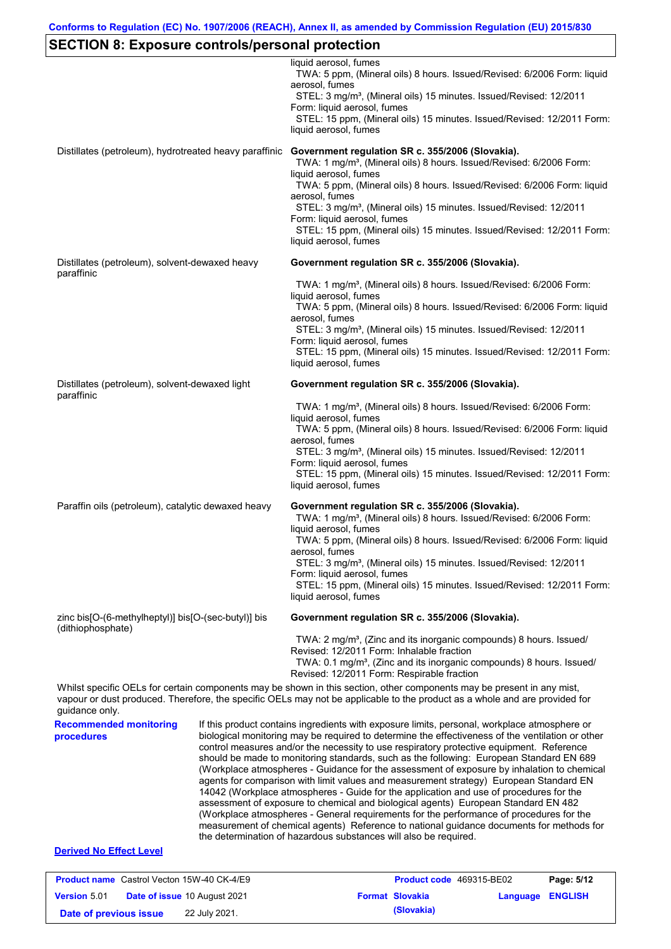# **SECTION 8: Exposure controls/personal protection**

|                                                    |                                                        | liquid aerosol, fumes<br>TWA: 5 ppm, (Mineral oils) 8 hours. Issued/Revised: 6/2006 Form: liquid<br>aerosol, fumes<br>STEL: 3 mg/m <sup>3</sup> , (Mineral oils) 15 minutes. Issued/Revised: 12/2011<br>Form: liquid aerosol, fumes<br>STEL: 15 ppm, (Mineral oils) 15 minutes. Issued/Revised: 12/2011 Form:<br>liquid aerosol, fumes                                                                                                                                                                                                                                                                                                                                                                                                                                                                                                                                                                                                                                                                                     |  |  |
|----------------------------------------------------|--------------------------------------------------------|----------------------------------------------------------------------------------------------------------------------------------------------------------------------------------------------------------------------------------------------------------------------------------------------------------------------------------------------------------------------------------------------------------------------------------------------------------------------------------------------------------------------------------------------------------------------------------------------------------------------------------------------------------------------------------------------------------------------------------------------------------------------------------------------------------------------------------------------------------------------------------------------------------------------------------------------------------------------------------------------------------------------------|--|--|
|                                                    | Distillates (petroleum), hydrotreated heavy paraffinic | Government regulation SR c. 355/2006 (Slovakia).<br>TWA: 1 mg/m <sup>3</sup> , (Mineral oils) 8 hours. Issued/Revised: 6/2006 Form:<br>liquid aerosol, fumes<br>TWA: 5 ppm, (Mineral oils) 8 hours. Issued/Revised: 6/2006 Form: liquid<br>aerosol, fumes<br>STEL: 3 mg/m <sup>3</sup> , (Mineral oils) 15 minutes. Issued/Revised: 12/2011<br>Form: liquid aerosol, fumes<br>STEL: 15 ppm, (Mineral oils) 15 minutes. Issued/Revised: 12/2011 Form:<br>liquid aerosol, fumes                                                                                                                                                                                                                                                                                                                                                                                                                                                                                                                                              |  |  |
| paraffinic                                         | Distillates (petroleum), solvent-dewaxed heavy         | Government regulation SR c. 355/2006 (Slovakia).                                                                                                                                                                                                                                                                                                                                                                                                                                                                                                                                                                                                                                                                                                                                                                                                                                                                                                                                                                           |  |  |
|                                                    |                                                        | TWA: 1 mg/m <sup>3</sup> , (Mineral oils) 8 hours. Issued/Revised: 6/2006 Form:<br>liquid aerosol, fumes<br>TWA: 5 ppm, (Mineral oils) 8 hours. Issued/Revised: 6/2006 Form: liquid<br>aerosol, fumes<br>STEL: 3 mg/m <sup>3</sup> , (Mineral oils) 15 minutes. Issued/Revised: 12/2011<br>Form: liquid aerosol, fumes<br>STEL: 15 ppm, (Mineral oils) 15 minutes. Issued/Revised: 12/2011 Form:<br>liquid aerosol, fumes                                                                                                                                                                                                                                                                                                                                                                                                                                                                                                                                                                                                  |  |  |
| Distillates (petroleum), solvent-dewaxed light     |                                                        | Government regulation SR c. 355/2006 (Slovakia).                                                                                                                                                                                                                                                                                                                                                                                                                                                                                                                                                                                                                                                                                                                                                                                                                                                                                                                                                                           |  |  |
| paraffinic                                         |                                                        | TWA: 1 mg/m <sup>3</sup> , (Mineral oils) 8 hours. Issued/Revised: 6/2006 Form:<br>liquid aerosol, fumes<br>TWA: 5 ppm, (Mineral oils) 8 hours. Issued/Revised: 6/2006 Form: liquid<br>aerosol, fumes<br>STEL: 3 mg/m <sup>3</sup> , (Mineral oils) 15 minutes. Issued/Revised: 12/2011<br>Form: liquid aerosol, fumes<br>STEL: 15 ppm, (Mineral oils) 15 minutes. Issued/Revised: 12/2011 Form:<br>liquid aerosol, fumes                                                                                                                                                                                                                                                                                                                                                                                                                                                                                                                                                                                                  |  |  |
| Paraffin oils (petroleum), catalytic dewaxed heavy |                                                        | Government regulation SR c. 355/2006 (Slovakia).<br>TWA: 1 mg/m <sup>3</sup> , (Mineral oils) 8 hours. Issued/Revised: 6/2006 Form:<br>liquid aerosol, fumes<br>TWA: 5 ppm, (Mineral oils) 8 hours. Issued/Revised: 6/2006 Form: liquid<br>aerosol, fumes<br>STEL: 3 mg/m <sup>3</sup> , (Mineral oils) 15 minutes. Issued/Revised: 12/2011<br>Form: liquid aerosol, fumes<br>STEL: 15 ppm, (Mineral oils) 15 minutes. Issued/Revised: 12/2011 Form:<br>liquid aerosol, fumes                                                                                                                                                                                                                                                                                                                                                                                                                                                                                                                                              |  |  |
| (dithiophosphate)                                  | zinc bis[O-(6-methylheptyl)] bis[O-(sec-butyl)] bis    | Government regulation SR c. 355/2006 (Slovakia).                                                                                                                                                                                                                                                                                                                                                                                                                                                                                                                                                                                                                                                                                                                                                                                                                                                                                                                                                                           |  |  |
|                                                    |                                                        | TWA: 2 mg/m <sup>3</sup> , (Zinc and its inorganic compounds) 8 hours. Issued/<br>Revised: 12/2011 Form: Inhalable fraction<br>TWA: 0.1 mg/m <sup>3</sup> , (Zinc and its inorganic compounds) 8 hours. Issued/<br>Revised: 12/2011 Form: Respirable fraction                                                                                                                                                                                                                                                                                                                                                                                                                                                                                                                                                                                                                                                                                                                                                              |  |  |
| guidance only.                                     |                                                        | Whilst specific OELs for certain components may be shown in this section, other components may be present in any mist,<br>vapour or dust produced. Therefore, the specific OELs may not be applicable to the product as a whole and are provided for                                                                                                                                                                                                                                                                                                                                                                                                                                                                                                                                                                                                                                                                                                                                                                       |  |  |
| <b>Recommended monitoring</b><br>procedures        |                                                        | If this product contains ingredients with exposure limits, personal, workplace atmosphere or<br>biological monitoring may be required to determine the effectiveness of the ventilation or other<br>control measures and/or the necessity to use respiratory protective equipment. Reference<br>should be made to monitoring standards, such as the following: European Standard EN 689<br>(Workplace atmospheres - Guidance for the assessment of exposure by inhalation to chemical<br>agents for comparison with limit values and measurement strategy) European Standard EN<br>14042 (Workplace atmospheres - Guide for the application and use of procedures for the<br>assessment of exposure to chemical and biological agents) European Standard EN 482<br>(Workplace atmospheres - General requirements for the performance of procedures for the<br>measurement of chemical agents) Reference to national guidance documents for methods for<br>the determination of hazardous substances will also be required. |  |  |
| <b>Derived No Effect Level</b>                     |                                                        |                                                                                                                                                                                                                                                                                                                                                                                                                                                                                                                                                                                                                                                                                                                                                                                                                                                                                                                                                                                                                            |  |  |
| <b>Product name</b> Castrol Vecton 15W-40 CK-4/E9  |                                                        | Product code 469315-BE02<br>Page: 5/12                                                                                                                                                                                                                                                                                                                                                                                                                                                                                                                                                                                                                                                                                                                                                                                                                                                                                                                                                                                     |  |  |
| Version 5.01                                       | Date of issue 10 August 2021                           | <b>Format Slovakia</b><br>Language ENGLISH                                                                                                                                                                                                                                                                                                                                                                                                                                                                                                                                                                                                                                                                                                                                                                                                                                                                                                                                                                                 |  |  |

**Date of previous issue** 22 July 2021.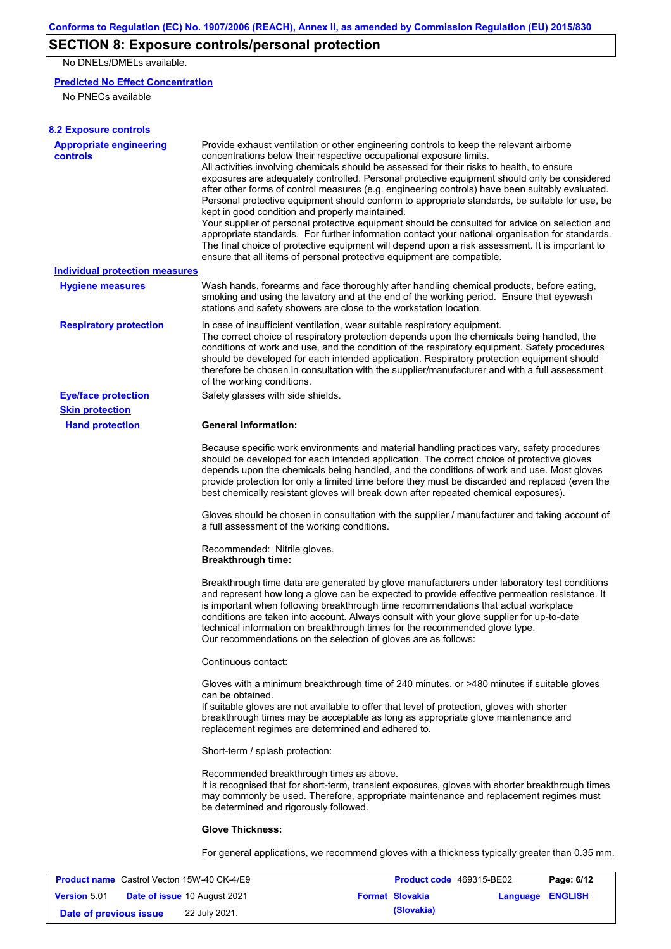# **SECTION 8: Exposure controls/personal protection**

No DNELs/DMELs available.

#### **Predicted No Effect Concentration**

No PNECs available

| <b>8.2 Exposure controls</b>                      |                                                                                                                                                                                                                                                                                                                                                                                                                                                                                                                                                                                                                                                                                                                                                                                                                                                                                                                                                                                                         |
|---------------------------------------------------|---------------------------------------------------------------------------------------------------------------------------------------------------------------------------------------------------------------------------------------------------------------------------------------------------------------------------------------------------------------------------------------------------------------------------------------------------------------------------------------------------------------------------------------------------------------------------------------------------------------------------------------------------------------------------------------------------------------------------------------------------------------------------------------------------------------------------------------------------------------------------------------------------------------------------------------------------------------------------------------------------------|
| <b>Appropriate engineering</b><br><b>controls</b> | Provide exhaust ventilation or other engineering controls to keep the relevant airborne<br>concentrations below their respective occupational exposure limits.<br>All activities involving chemicals should be assessed for their risks to health, to ensure<br>exposures are adequately controlled. Personal protective equipment should only be considered<br>after other forms of control measures (e.g. engineering controls) have been suitably evaluated.<br>Personal protective equipment should conform to appropriate standards, be suitable for use, be<br>kept in good condition and properly maintained.<br>Your supplier of personal protective equipment should be consulted for advice on selection and<br>appropriate standards. For further information contact your national organisation for standards.<br>The final choice of protective equipment will depend upon a risk assessment. It is important to<br>ensure that all items of personal protective equipment are compatible. |
| <b>Individual protection measures</b>             |                                                                                                                                                                                                                                                                                                                                                                                                                                                                                                                                                                                                                                                                                                                                                                                                                                                                                                                                                                                                         |
| <b>Hygiene measures</b>                           | Wash hands, forearms and face thoroughly after handling chemical products, before eating,<br>smoking and using the lavatory and at the end of the working period. Ensure that eyewash<br>stations and safety showers are close to the workstation location.                                                                                                                                                                                                                                                                                                                                                                                                                                                                                                                                                                                                                                                                                                                                             |
| <b>Respiratory protection</b>                     | In case of insufficient ventilation, wear suitable respiratory equipment.<br>The correct choice of respiratory protection depends upon the chemicals being handled, the<br>conditions of work and use, and the condition of the respiratory equipment. Safety procedures<br>should be developed for each intended application. Respiratory protection equipment should<br>therefore be chosen in consultation with the supplier/manufacturer and with a full assessment<br>of the working conditions.                                                                                                                                                                                                                                                                                                                                                                                                                                                                                                   |
| <b>Eye/face protection</b>                        | Safety glasses with side shields.                                                                                                                                                                                                                                                                                                                                                                                                                                                                                                                                                                                                                                                                                                                                                                                                                                                                                                                                                                       |
| <b>Skin protection</b>                            |                                                                                                                                                                                                                                                                                                                                                                                                                                                                                                                                                                                                                                                                                                                                                                                                                                                                                                                                                                                                         |
| <b>Hand protection</b>                            | <b>General Information:</b>                                                                                                                                                                                                                                                                                                                                                                                                                                                                                                                                                                                                                                                                                                                                                                                                                                                                                                                                                                             |
|                                                   | Because specific work environments and material handling practices vary, safety procedures<br>should be developed for each intended application. The correct choice of protective gloves<br>depends upon the chemicals being handled, and the conditions of work and use. Most gloves<br>provide protection for only a limited time before they must be discarded and replaced (even the<br>best chemically resistant gloves will break down after repeated chemical exposures).                                                                                                                                                                                                                                                                                                                                                                                                                                                                                                                        |
|                                                   | Gloves should be chosen in consultation with the supplier / manufacturer and taking account of<br>a full assessment of the working conditions.                                                                                                                                                                                                                                                                                                                                                                                                                                                                                                                                                                                                                                                                                                                                                                                                                                                          |
|                                                   | Recommended: Nitrile gloves.<br><b>Breakthrough time:</b>                                                                                                                                                                                                                                                                                                                                                                                                                                                                                                                                                                                                                                                                                                                                                                                                                                                                                                                                               |
|                                                   | Breakthrough time data are generated by glove manufacturers under laboratory test conditions<br>and represent how long a glove can be expected to provide effective permeation resistance. It<br>is important when following breakthrough time recommendations that actual workplace<br>conditions are taken into account. Always consult with your glove supplier for up-to-date<br>technical information on breakthrough times for the recommended glove type.<br>Our recommendations on the selection of gloves are as follows:                                                                                                                                                                                                                                                                                                                                                                                                                                                                      |
|                                                   | Continuous contact:                                                                                                                                                                                                                                                                                                                                                                                                                                                                                                                                                                                                                                                                                                                                                                                                                                                                                                                                                                                     |
|                                                   | Gloves with a minimum breakthrough time of 240 minutes, or >480 minutes if suitable gloves<br>can be obtained.<br>If suitable gloves are not available to offer that level of protection, gloves with shorter<br>breakthrough times may be acceptable as long as appropriate glove maintenance and<br>replacement regimes are determined and adhered to.                                                                                                                                                                                                                                                                                                                                                                                                                                                                                                                                                                                                                                                |
|                                                   | Short-term / splash protection:                                                                                                                                                                                                                                                                                                                                                                                                                                                                                                                                                                                                                                                                                                                                                                                                                                                                                                                                                                         |
|                                                   | Recommended breakthrough times as above.<br>It is recognised that for short-term, transient exposures, gloves with shorter breakthrough times<br>may commonly be used. Therefore, appropriate maintenance and replacement regimes must<br>be determined and rigorously followed.                                                                                                                                                                                                                                                                                                                                                                                                                                                                                                                                                                                                                                                                                                                        |
|                                                   | <b>Glove Thickness:</b>                                                                                                                                                                                                                                                                                                                                                                                                                                                                                                                                                                                                                                                                                                                                                                                                                                                                                                                                                                                 |
|                                                   | For general applications, we recommend gloves with a thickness typically greater than 0.35 mm.                                                                                                                                                                                                                                                                                                                                                                                                                                                                                                                                                                                                                                                                                                                                                                                                                                                                                                          |

|                        | <b>Product name</b> Castrol Vecton 15W-40 CK-4/E9 | <b>Product code</b> 469315-BE02 |                  | Page: 6/12 |
|------------------------|---------------------------------------------------|---------------------------------|------------------|------------|
| <b>Version 5.01</b>    | <b>Date of issue 10 August 2021</b>               | <b>Format Slovakia</b>          | Language ENGLISH |            |
| Date of previous issue | 22 July 2021.                                     | (Slovakia)                      |                  |            |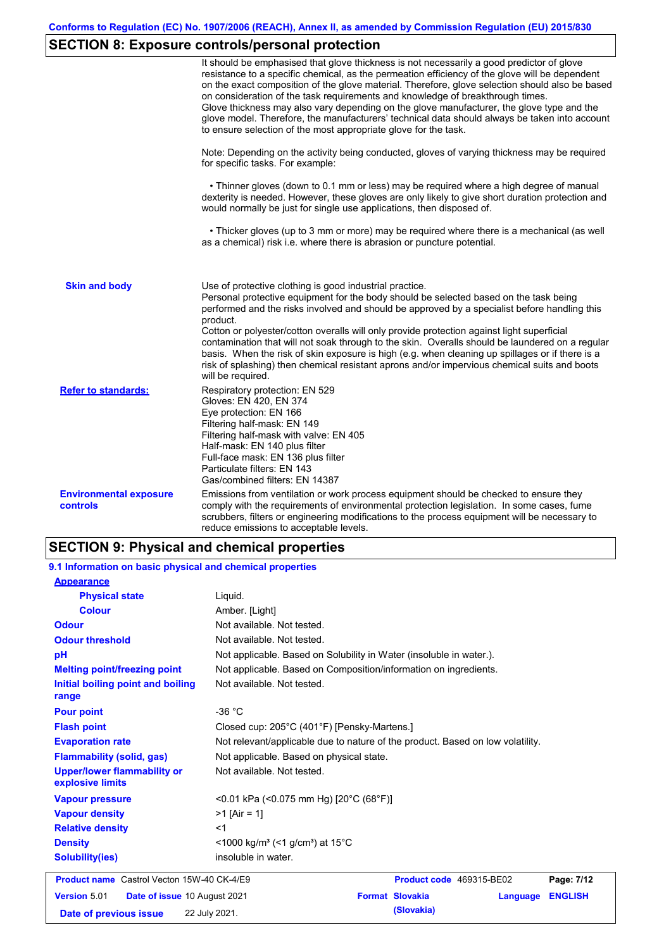# **SECTION 8: Exposure controls/personal protection**

|                                                  | It should be emphasised that glove thickness is not necessarily a good predictor of glove<br>resistance to a specific chemical, as the permeation efficiency of the glove will be dependent<br>on the exact composition of the glove material. Therefore, glove selection should also be based<br>on consideration of the task requirements and knowledge of breakthrough times.<br>Glove thickness may also vary depending on the glove manufacturer, the glove type and the<br>glove model. Therefore, the manufacturers' technical data should always be taken into account<br>to ensure selection of the most appropriate glove for the task.                                     |
|--------------------------------------------------|---------------------------------------------------------------------------------------------------------------------------------------------------------------------------------------------------------------------------------------------------------------------------------------------------------------------------------------------------------------------------------------------------------------------------------------------------------------------------------------------------------------------------------------------------------------------------------------------------------------------------------------------------------------------------------------|
|                                                  | Note: Depending on the activity being conducted, gloves of varying thickness may be required<br>for specific tasks. For example:                                                                                                                                                                                                                                                                                                                                                                                                                                                                                                                                                      |
|                                                  | • Thinner gloves (down to 0.1 mm or less) may be required where a high degree of manual<br>dexterity is needed. However, these gloves are only likely to give short duration protection and<br>would normally be just for single use applications, then disposed of.                                                                                                                                                                                                                                                                                                                                                                                                                  |
|                                                  | • Thicker gloves (up to 3 mm or more) may be required where there is a mechanical (as well<br>as a chemical) risk i.e. where there is abrasion or puncture potential.                                                                                                                                                                                                                                                                                                                                                                                                                                                                                                                 |
| <b>Skin and body</b>                             | Use of protective clothing is good industrial practice.<br>Personal protective equipment for the body should be selected based on the task being<br>performed and the risks involved and should be approved by a specialist before handling this<br>product.<br>Cotton or polyester/cotton overalls will only provide protection against light superficial<br>contamination that will not soak through to the skin. Overalls should be laundered on a regular<br>basis. When the risk of skin exposure is high (e.g. when cleaning up spillages or if there is a<br>risk of splashing) then chemical resistant aprons and/or impervious chemical suits and boots<br>will be required. |
| <b>Refer to standards:</b>                       | Respiratory protection: EN 529<br>Gloves: EN 420, EN 374<br>Eye protection: EN 166<br>Filtering half-mask: EN 149<br>Filtering half-mask with valve: EN 405<br>Half-mask: EN 140 plus filter<br>Full-face mask: EN 136 plus filter<br>Particulate filters: EN 143<br>Gas/combined filters: EN 14387                                                                                                                                                                                                                                                                                                                                                                                   |
| <b>Environmental exposure</b><br><b>controls</b> | Emissions from ventilation or work process equipment should be checked to ensure they<br>comply with the requirements of environmental protection legislation. In some cases, fume<br>scrubbers, filters or engineering modifications to the process equipment will be necessary to<br>reduce emissions to acceptable levels.                                                                                                                                                                                                                                                                                                                                                         |

# **SECTION 9: Physical and chemical properties**

| 9.1 Information on basic physical and chemical properties |                                                                                |  |  |  |
|-----------------------------------------------------------|--------------------------------------------------------------------------------|--|--|--|
| <b>Appearance</b>                                         |                                                                                |  |  |  |
| <b>Physical state</b>                                     | Liquid.                                                                        |  |  |  |
| <b>Colour</b>                                             | Amber. [Light]                                                                 |  |  |  |
| <b>Odour</b>                                              | Not available. Not tested.                                                     |  |  |  |
| <b>Odour threshold</b>                                    | Not available. Not tested.                                                     |  |  |  |
| pH                                                        | Not applicable. Based on Solubility in Water (insoluble in water.).            |  |  |  |
| <b>Melting point/freezing point</b>                       | Not applicable. Based on Composition/information on ingredients.               |  |  |  |
| Initial boiling point and boiling<br>range                | Not available. Not tested.                                                     |  |  |  |
| <b>Pour point</b>                                         | $-36 °C$                                                                       |  |  |  |
| <b>Flash point</b>                                        | Closed cup: 205°C (401°F) [Pensky-Martens.]                                    |  |  |  |
| <b>Evaporation rate</b>                                   | Not relevant/applicable due to nature of the product. Based on low volatility. |  |  |  |
| <b>Flammability (solid, gas)</b>                          | Not applicable. Based on physical state.                                       |  |  |  |
| <b>Upper/lower flammability or</b><br>explosive limits    | Not available. Not tested.                                                     |  |  |  |
| <b>Vapour pressure</b>                                    | <0.01 kPa (<0.075 mm Hg) [20°C (68°F)]                                         |  |  |  |
| <b>Vapour density</b>                                     | $>1$ [Air = 1]                                                                 |  |  |  |
| <b>Relative density</b>                                   | $<$ 1                                                                          |  |  |  |
| <b>Density</b>                                            | <1000 kg/m <sup>3</sup> (<1 g/cm <sup>3</sup> ) at 15 <sup>°</sup> C           |  |  |  |
| <b>Solubility(ies)</b>                                    | insoluble in water.                                                            |  |  |  |
| <b>Product name</b> Castrol Vecton 15W-40 CK-4/E9         | Product code 469315-BE02<br>Page: 7/12                                         |  |  |  |
| <b>Version 5.01</b><br>Date of issue 10 August 2021       | <b>Format Slovakia</b><br><b>ENGLISH</b><br>Language                           |  |  |  |
| Date of previous issue                                    | (Slovakia)<br>22 July 2021.                                                    |  |  |  |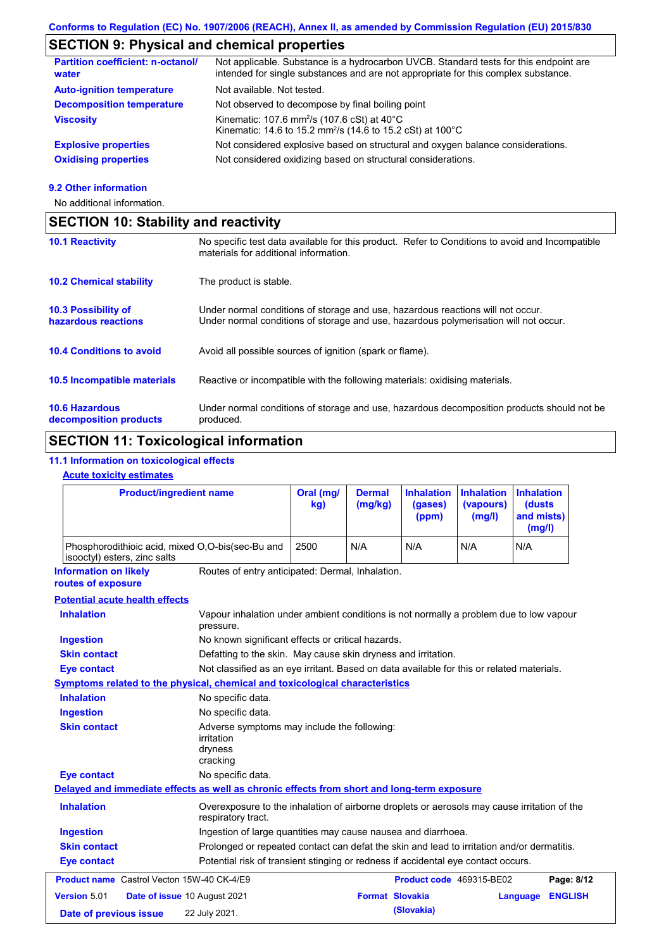# **SECTION 9: Physical and chemical properties**

| <b>Partition coefficient: n-octanol/</b><br>water | Not applicable. Substance is a hydrocarbon UVCB. Standard tests for this endpoint are<br>intended for single substances and are not appropriate for this complex substance. |
|---------------------------------------------------|-----------------------------------------------------------------------------------------------------------------------------------------------------------------------------|
| <b>Auto-ignition temperature</b>                  | Not available. Not tested.                                                                                                                                                  |
| <b>Decomposition temperature</b>                  | Not observed to decompose by final boiling point                                                                                                                            |
| <b>Viscosity</b>                                  | Kinematic: 107.6 mm <sup>2</sup> /s (107.6 cSt) at $40^{\circ}$ C<br>Kinematic: 14.6 to 15.2 mm <sup>2</sup> /s (14.6 to 15.2 cSt) at 100°C                                 |
| <b>Explosive properties</b>                       | Not considered explosive based on structural and oxygen balance considerations.                                                                                             |
| <b>Oxidising properties</b>                       | Not considered oxidizing based on structural considerations.                                                                                                                |

#### **9.2 Other information**

No additional information.

| <b>SECTION 10: Stability and reactivity</b>     |                                                                                                                                                                         |  |
|-------------------------------------------------|-------------------------------------------------------------------------------------------------------------------------------------------------------------------------|--|
| <b>10.1 Reactivity</b>                          | No specific test data available for this product. Refer to Conditions to avoid and Incompatible<br>materials for additional information.                                |  |
| <b>10.2 Chemical stability</b>                  | The product is stable.                                                                                                                                                  |  |
| 10.3 Possibility of<br>hazardous reactions      | Under normal conditions of storage and use, hazardous reactions will not occur.<br>Under normal conditions of storage and use, hazardous polymerisation will not occur. |  |
| <b>10.4 Conditions to avoid</b>                 | Avoid all possible sources of ignition (spark or flame).                                                                                                                |  |
| <b>10.5 Incompatible materials</b>              | Reactive or incompatible with the following materials: oxidising materials.                                                                                             |  |
| <b>10.6 Hazardous</b><br>decomposition products | Under normal conditions of storage and use, hazardous decomposition products should not be<br>produced.                                                                 |  |

# **SECTION 11: Toxicological information**

#### **11.1 Information on toxicological effects**

#### **Acute toxicity estimates**

| <b>Product/ingredient name</b>                                                             |                                                                                                                   | Oral (mg/<br>kg) | <b>Dermal</b><br>(mg/kg) | <b>Inhalation</b><br>(gases)<br>(ppm) | <b>Inhalation</b><br>(vapours)<br>(mg/l) | <b>Inhalation</b><br>(dusts<br>and mists)<br>(mg/l) |
|--------------------------------------------------------------------------------------------|-------------------------------------------------------------------------------------------------------------------|------------------|--------------------------|---------------------------------------|------------------------------------------|-----------------------------------------------------|
| Phosphorodithioic acid, mixed O,O-bis(sec-Bu and<br>isooctyl) esters, zinc salts           |                                                                                                                   | 2500             | N/A                      | N/A                                   | N/A                                      | N/A                                                 |
| <b>Information on likely</b><br>routes of exposure                                         | Routes of entry anticipated: Dermal, Inhalation.                                                                  |                  |                          |                                       |                                          |                                                     |
| <b>Potential acute health effects</b>                                                      |                                                                                                                   |                  |                          |                                       |                                          |                                                     |
| <b>Inhalation</b>                                                                          | Vapour inhalation under ambient conditions is not normally a problem due to low vapour<br>pressure.               |                  |                          |                                       |                                          |                                                     |
| <b>Ingestion</b>                                                                           | No known significant effects or critical hazards.                                                                 |                  |                          |                                       |                                          |                                                     |
| <b>Skin contact</b>                                                                        | Defatting to the skin. May cause skin dryness and irritation.                                                     |                  |                          |                                       |                                          |                                                     |
| <b>Eye contact</b>                                                                         | Not classified as an eye irritant. Based on data available for this or related materials.                         |                  |                          |                                       |                                          |                                                     |
| Symptoms related to the physical, chemical and toxicological characteristics               |                                                                                                                   |                  |                          |                                       |                                          |                                                     |
| <b>Inhalation</b>                                                                          | No specific data.                                                                                                 |                  |                          |                                       |                                          |                                                     |
| <b>Ingestion</b>                                                                           | No specific data.                                                                                                 |                  |                          |                                       |                                          |                                                     |
| <b>Skin contact</b>                                                                        | Adverse symptoms may include the following:<br>irritation<br>dryness<br>cracking                                  |                  |                          |                                       |                                          |                                                     |
| <b>Eye contact</b>                                                                         | No specific data.                                                                                                 |                  |                          |                                       |                                          |                                                     |
| Delayed and immediate effects as well as chronic effects from short and long-term exposure |                                                                                                                   |                  |                          |                                       |                                          |                                                     |
| <b>Inhalation</b>                                                                          | Overexposure to the inhalation of airborne droplets or aerosols may cause irritation of the<br>respiratory tract. |                  |                          |                                       |                                          |                                                     |
| <b>Ingestion</b>                                                                           | Ingestion of large quantities may cause nausea and diarrhoea.                                                     |                  |                          |                                       |                                          |                                                     |
| <b>Skin contact</b>                                                                        | Prolonged or repeated contact can defat the skin and lead to irritation and/or dermatitis.                        |                  |                          |                                       |                                          |                                                     |
| <b>Eye contact</b>                                                                         | Potential risk of transient stinging or redness if accidental eye contact occurs.                                 |                  |                          |                                       |                                          |                                                     |
| <b>Product name</b> Castrol Vecton 15W-40 CK-4/E9                                          |                                                                                                                   |                  |                          | Product code 469315-BE02              |                                          | Page: 8/12                                          |
| Version 5.01                                                                               | Date of issue 10 August 2021                                                                                      |                  | <b>Format Slovakia</b>   |                                       |                                          | <b>ENGLISH</b><br>Language                          |
| Date of previous issue                                                                     | 22 July 2021.                                                                                                     |                  |                          | (Slovakia)                            |                                          |                                                     |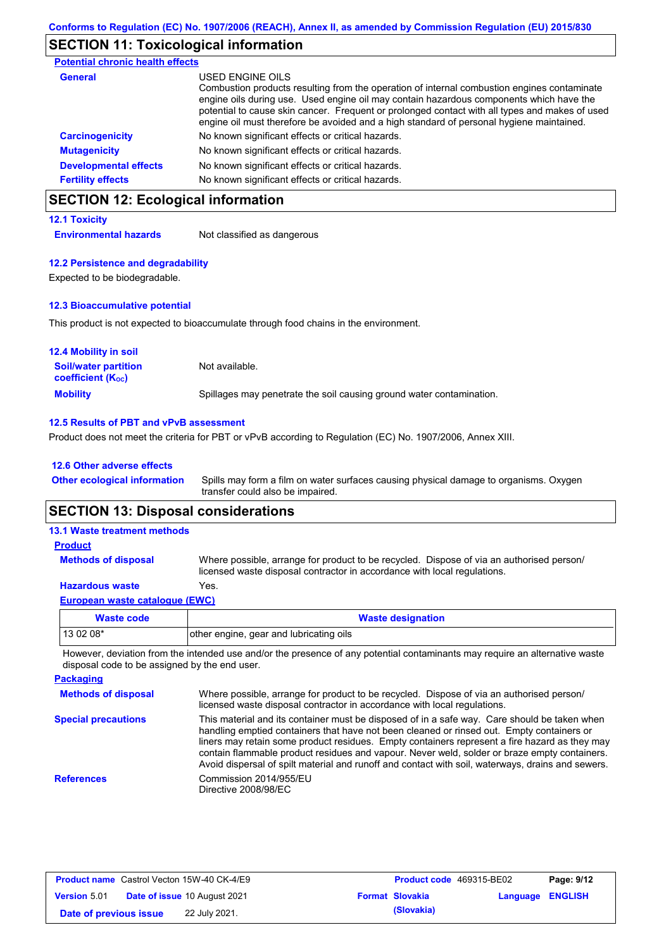# **SECTION 11: Toxicological information**

| <b>Potential chronic health effects</b> |                                                                                                                                                                                                                                                                                                                                                                                                          |
|-----------------------------------------|----------------------------------------------------------------------------------------------------------------------------------------------------------------------------------------------------------------------------------------------------------------------------------------------------------------------------------------------------------------------------------------------------------|
| <b>General</b>                          | USED ENGINE OILS<br>Combustion products resulting from the operation of internal combustion engines contaminate<br>engine oils during use. Used engine oil may contain hazardous components which have the<br>potential to cause skin cancer. Frequent or prolonged contact with all types and makes of used<br>engine oil must therefore be avoided and a high standard of personal hygiene maintained. |
| <b>Carcinogenicity</b>                  | No known significant effects or critical hazards.                                                                                                                                                                                                                                                                                                                                                        |
| <b>Mutagenicity</b>                     | No known significant effects or critical hazards.                                                                                                                                                                                                                                                                                                                                                        |
| <b>Developmental effects</b>            | No known significant effects or critical hazards.                                                                                                                                                                                                                                                                                                                                                        |
| <b>Fertility effects</b>                | No known significant effects or critical hazards.                                                                                                                                                                                                                                                                                                                                                        |

### **SECTION 12: Ecological information**

#### **12.1 Toxicity**

**Environmental hazards** Not classified as dangerous

#### **12.2 Persistence and degradability**

Expected to be biodegradable.

#### **12.3 Bioaccumulative potential**

This product is not expected to bioaccumulate through food chains in the environment.

| <b>12.4 Mobility in soil</b>                            |                                                                      |
|---------------------------------------------------------|----------------------------------------------------------------------|
| <b>Soil/water partition</b><br><b>coefficient (Koc)</b> | Not available.                                                       |
| <b>Mobility</b>                                         | Spillages may penetrate the soil causing ground water contamination. |

#### **12.5 Results of PBT and vPvB assessment**

Product does not meet the criteria for PBT or vPvB according to Regulation (EC) No. 1907/2006, Annex XIII.

#### **12.6 Other adverse effects**

**Other ecological information**

Spills may form a film on water surfaces causing physical damage to organisms. Oxygen transfer could also be impaired.

### **SECTION 13: Disposal considerations**

| <b>13.1 Waste treatment methods</b> |                                                                                                                                                                      |
|-------------------------------------|----------------------------------------------------------------------------------------------------------------------------------------------------------------------|
| <b>Product</b>                      |                                                                                                                                                                      |
| <b>Methods of disposal</b>          | Where possible, arrange for product to be recycled. Dispose of via an authorised person/<br>licensed waste disposal contractor in accordance with local regulations. |
| <b>Hazardous waste</b>              | Yes.                                                                                                                                                                 |
| European waste catalogue (EWC)      |                                                                                                                                                                      |
| Waste code                          | <b>Waste designation</b>                                                                                                                                             |

## **Waste code Waste designation** 13 02 08\* **other engine, gear and lubricating oils**

However, deviation from the intended use and/or the presence of any potential contaminants may require an alternative waste disposal code to be assigned by the end user.

| <b>Packaging</b>           |                                                                                                                                                                                                                                                                                                                                                                                                                                                                                                 |
|----------------------------|-------------------------------------------------------------------------------------------------------------------------------------------------------------------------------------------------------------------------------------------------------------------------------------------------------------------------------------------------------------------------------------------------------------------------------------------------------------------------------------------------|
| <b>Methods of disposal</b> | Where possible, arrange for product to be recycled. Dispose of via an authorised person/<br>licensed waste disposal contractor in accordance with local regulations.                                                                                                                                                                                                                                                                                                                            |
| <b>Special precautions</b> | This material and its container must be disposed of in a safe way. Care should be taken when<br>handling emptied containers that have not been cleaned or rinsed out. Empty containers or<br>liners may retain some product residues. Empty containers represent a fire hazard as they may<br>contain flammable product residues and vapour. Never weld, solder or braze empty containers.<br>Avoid dispersal of spilt material and runoff and contact with soil, waterways, drains and sewers. |
| <b>References</b>          | Commission 2014/955/EU<br>Directive 2008/98/EC                                                                                                                                                                                                                                                                                                                                                                                                                                                  |

| <b>Product name</b> Castrol Vecton 15W-40 CK-4/E9 |                                     | <b>Product code</b> 469315-BE02 |                         | Page: 9/12 |
|---------------------------------------------------|-------------------------------------|---------------------------------|-------------------------|------------|
| <b>Version 5.01</b>                               | <b>Date of issue 10 August 2021</b> | <b>Format Slovakia</b>          | <b>Language ENGLISH</b> |            |
| Date of previous issue                            | 22 July 2021.                       | (Slovakia)                      |                         |            |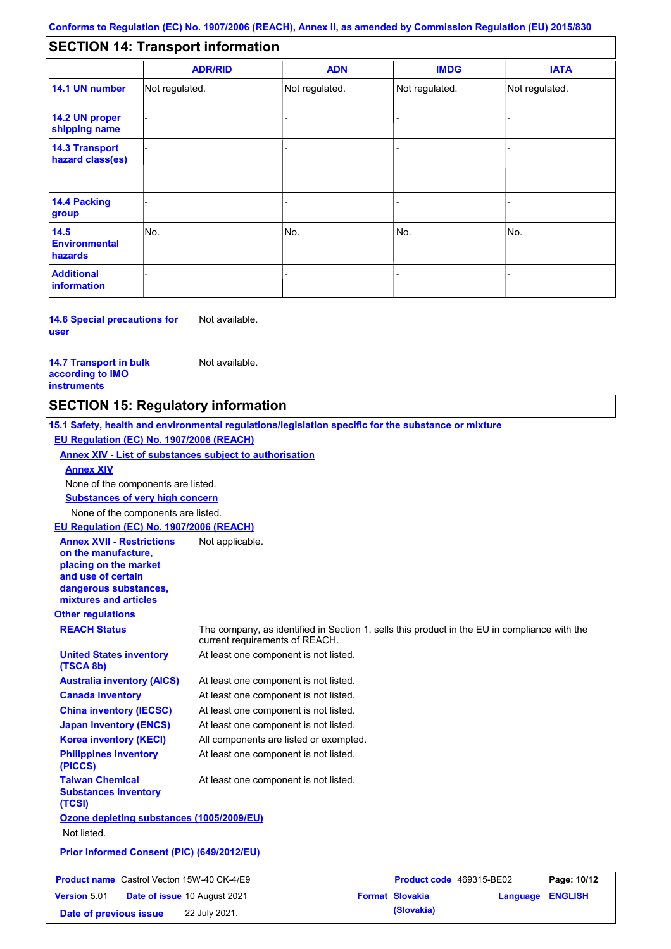#### - - - - - - - - - Not regulated. Not regulated. Not regulated. - - - **SECTION 14: Transport information ADR/RID IMDG IATA 14.1 UN number 14.2 UN proper shipping name 14.3 Transport hazard class(es) 14.4 Packing group ADN Additional information 14.5 Environmental hazards** No. 1988 | No. 1989 | No. 1989 | No. 1989 | No. 1989 | No. 1989 | No. 1989 | No. 1989 | No. 1989 | No. 1989 | Not regulated. - -<br>No. - -

**14.6 Special precautions for user** Not available.

**14.7 Transport in bulk according to IMO instruments**

Not available.

### **SECTION 15: Regulatory information**

**Other regulations REACH Status** The company, as identified in Section 1, sells this product in the EU in compliance with the current requirements of REACH. **15.1 Safety, health and environmental regulations/legislation specific for the substance or mixture EU Regulation (EC) No. 1907/2006 (REACH) Annex XIV - List of substances subject to authorisation Substances of very high concern** None of the components are listed. At least one component is not listed. At least one component is not listed. At least one component is not listed. At least one component is not listed. At least one component is not listed. All components are listed or exempted. At least one component is not listed. **United States inventory (TSCA 8b) Australia inventory (AICS) Canada inventory China inventory (IECSC) Japan inventory (ENCS) Korea inventory (KECI) Philippines inventory (PICCS) Taiwan Chemical Substances Inventory (TCSI)** At least one component is not listed. **Ozone depleting substances (1005/2009/EU)** Not listed. **Prior Informed Consent (PIC) (649/2012/EU)** None of the components are listed. **Annex XIV EU Regulation (EC) No. 1907/2006 (REACH) Annex XVII - Restrictions on the manufacture, placing on the market and use of certain dangerous substances, mixtures and articles** Not applicable. **Product name** Castrol Vecton 15W-40 CK-4/E9 **Product Code 469315-BE02 Page: 10/12 Version** 5.01 **Date of issue** 10 August 2021 **Format Slovakia Language ENGLISH** 

**Date of previous issue (Slovakia)** 22 July 2021.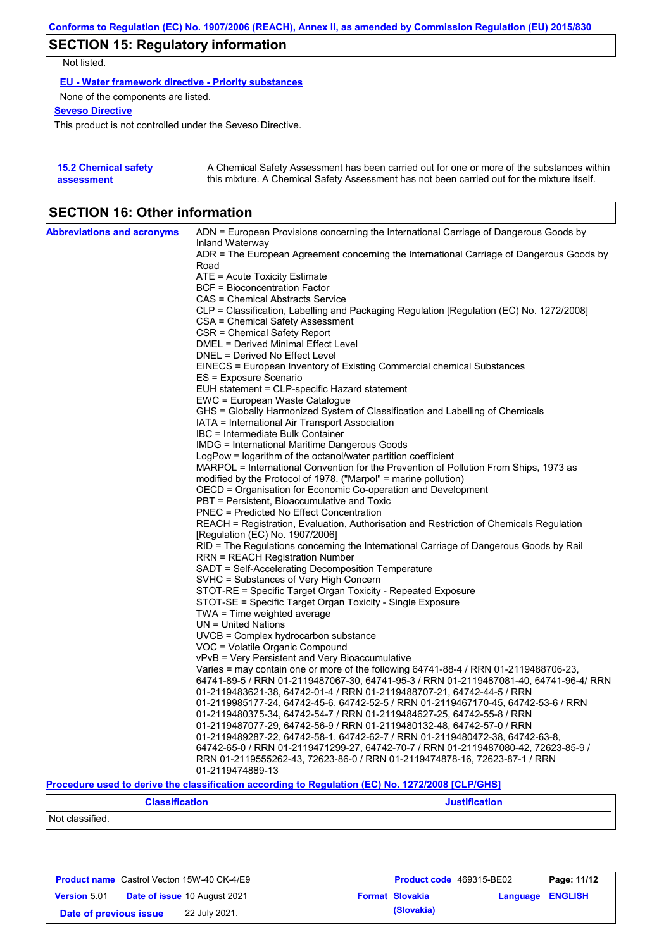# **SECTION 15: Regulatory information**

Not listed.

**EU - Water framework directive - Priority substances**

None of the components are listed.

**Seveso Directive**

This product is not controlled under the Seveso Directive.

| <b>15.2 Chemical safety</b> | A Chemical Safety Assessment has been carried out for one or more of the substances within  |
|-----------------------------|---------------------------------------------------------------------------------------------|
| assessment                  | this mixture. A Chemical Safety Assessment has not been carried out for the mixture itself. |

### **SECTION 16: Other information**

| <b>Abbreviations and acronyms</b> | ADN = European Provisions concerning the International Carriage of Dangerous Goods by                                                                                         |
|-----------------------------------|-------------------------------------------------------------------------------------------------------------------------------------------------------------------------------|
|                                   | Inland Waterway                                                                                                                                                               |
|                                   | ADR = The European Agreement concerning the International Carriage of Dangerous Goods by<br>Road                                                                              |
|                                   | ATE = Acute Toxicity Estimate                                                                                                                                                 |
|                                   | <b>BCF</b> = Bioconcentration Factor                                                                                                                                          |
|                                   | CAS = Chemical Abstracts Service                                                                                                                                              |
|                                   | CLP = Classification, Labelling and Packaging Regulation [Regulation (EC) No. 1272/2008]                                                                                      |
|                                   | CSA = Chemical Safety Assessment                                                                                                                                              |
|                                   | CSR = Chemical Safety Report                                                                                                                                                  |
|                                   | DMEL = Derived Minimal Effect Level                                                                                                                                           |
|                                   | DNEL = Derived No Effect Level                                                                                                                                                |
|                                   | EINECS = European Inventory of Existing Commercial chemical Substances                                                                                                        |
|                                   | ES = Exposure Scenario                                                                                                                                                        |
|                                   | EUH statement = CLP-specific Hazard statement                                                                                                                                 |
|                                   | EWC = European Waste Catalogue                                                                                                                                                |
|                                   | GHS = Globally Harmonized System of Classification and Labelling of Chemicals                                                                                                 |
|                                   | IATA = International Air Transport Association                                                                                                                                |
|                                   | IBC = Intermediate Bulk Container                                                                                                                                             |
|                                   | IMDG = International Maritime Dangerous Goods                                                                                                                                 |
|                                   | LogPow = logarithm of the octanol/water partition coefficient                                                                                                                 |
|                                   | MARPOL = International Convention for the Prevention of Pollution From Ships, 1973 as                                                                                         |
|                                   | modified by the Protocol of 1978. ("Marpol" = marine pollution)                                                                                                               |
|                                   | OECD = Organisation for Economic Co-operation and Development                                                                                                                 |
|                                   | PBT = Persistent, Bioaccumulative and Toxic                                                                                                                                   |
|                                   | PNEC = Predicted No Effect Concentration                                                                                                                                      |
|                                   | REACH = Registration, Evaluation, Authorisation and Restriction of Chemicals Regulation                                                                                       |
|                                   | [Regulation (EC) No. 1907/2006]                                                                                                                                               |
|                                   | RID = The Regulations concerning the International Carriage of Dangerous Goods by Rail                                                                                        |
|                                   | RRN = REACH Registration Number                                                                                                                                               |
|                                   | SADT = Self-Accelerating Decomposition Temperature                                                                                                                            |
|                                   | SVHC = Substances of Very High Concern                                                                                                                                        |
|                                   | STOT-RE = Specific Target Organ Toxicity - Repeated Exposure                                                                                                                  |
|                                   | STOT-SE = Specific Target Organ Toxicity - Single Exposure                                                                                                                    |
|                                   | TWA = Time weighted average                                                                                                                                                   |
|                                   | $UN = United Nations$                                                                                                                                                         |
|                                   | $UVCB = Complex\ hydrocarbon\ substance$                                                                                                                                      |
|                                   | VOC = Volatile Organic Compound                                                                                                                                               |
|                                   | vPvB = Very Persistent and Very Bioaccumulative                                                                                                                               |
|                                   | Varies = may contain one or more of the following 64741-88-4 / RRN 01-2119488706-23,<br>64741-89-5 / RRN 01-2119487067-30, 64741-95-3 / RRN 01-2119487081-40, 64741-96-4/ RRN |
|                                   | 01-2119483621-38, 64742-01-4 / RRN 01-2119488707-21, 64742-44-5 / RRN                                                                                                         |
|                                   | 01-2119985177-24, 64742-45-6, 64742-52-5 / RRN 01-2119467170-45, 64742-53-6 / RRN                                                                                             |
|                                   | 01-2119480375-34, 64742-54-7 / RRN 01-2119484627-25, 64742-55-8 / RRN                                                                                                         |
|                                   | 01-2119487077-29, 64742-56-9 / RRN 01-2119480132-48, 64742-57-0 / RRN                                                                                                         |
|                                   | 01-2119489287-22, 64742-58-1, 64742-62-7 / RRN 01-2119480472-38, 64742-63-8,                                                                                                  |
|                                   | 64742-65-0 / RRN 01-2119471299-27, 64742-70-7 / RRN 01-2119487080-42, 72623-85-9 /                                                                                            |
|                                   | RRN 01-2119555262-43, 72623-86-0 / RRN 01-2119474878-16, 72623-87-1 / RRN                                                                                                     |
|                                   |                                                                                                                                                                               |

**Procedure used to derive the classification according to Regulation (EC) No. 1272/2008 [CLP/GHS]**

| <b>Classification</b> | <b>Justification</b> |
|-----------------------|----------------------|
| Not classified.       |                      |

|                        | <b>Product name</b> Castrol Vecton 15W-40 CK-4/E9 | <b>Product code</b> 469315-BE02 |                         | Page: 11/12 |
|------------------------|---------------------------------------------------|---------------------------------|-------------------------|-------------|
| <b>Version 5.01</b>    | <b>Date of issue 10 August 2021</b>               | <b>Format Slovakia</b>          | <b>Language ENGLISH</b> |             |
| Date of previous issue | 22 July 2021.                                     | (Slovakia)                      |                         |             |